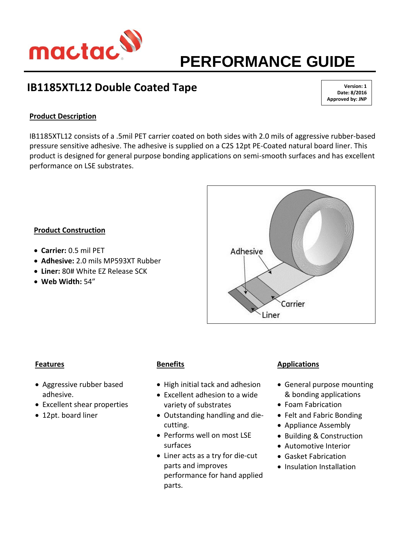

# **PERFORMANCE GUIDE**

# **IB1185XTL12 Double Coated Tape**

**Version: 1 Date: 8/2016 Approved by: JNP**

# **Product Description**

IB1185XTL12 consists of a .5mil PET carrier coated on both sides with 2.0 mils of aggressive rubber-based pressure sensitive adhesive. The adhesive is supplied on a C2S 12pt PE-Coated natural board liner. This product is designed for general purpose bonding applications on semi-smooth surfaces and has excellent performance on LSE substrates.

## **Product Construction**

- **Carrier:** 0.5 mil PET
- **Adhesive:** 2.0 mils MP593XT Rubber
- **Liner:** 80# White EZ Release SCK
- **Web Width:** 54"



#### **Features**

- Aggressive rubber based adhesive.
- Excellent shear properties
- 12pt. board liner

## **Benefits**

- High initial tack and adhesion
- Excellent adhesion to a wide variety of substrates
- Outstanding handling and diecutting.
- Performs well on most LSE surfaces
- Liner acts as a try for die-cut parts and improves performance for hand applied parts.

## **Applications**

- General purpose mounting & bonding applications
- Foam Fabrication
- Felt and Fabric Bonding
- Appliance Assembly
- Building & Construction
- Automotive Interior
- Gasket Fabrication
- Insulation Installation